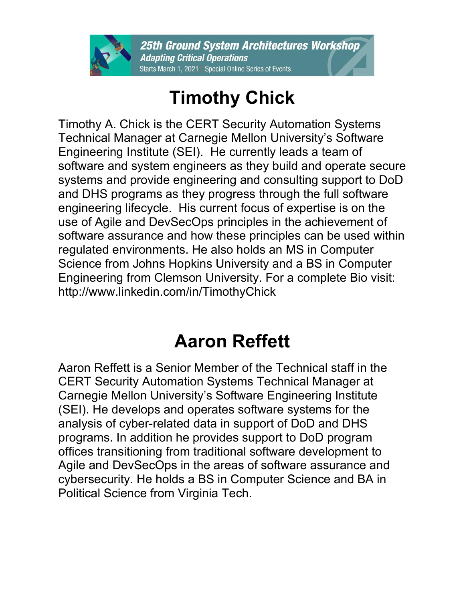

## **Timothy Chick**

Timothy A. Chick is the CERT Security Automation Systems Technical Manager at Carnegie Mellon University's Software Engineering Institute (SEI). He currently leads a team of software and system engineers as they build and operate secure systems and provide engineering and consulting support to DoD and DHS programs as they progress through the full software engineering lifecycle. His current focus of expertise is on the use of Agile and DevSecOps principles in the achievement of software assurance and how these principles can be used within regulated environments. He also holds an MS in Computer Science from Johns Hopkins University and a BS in Computer Engineering from Clemson University. For a complete Bio visit: http://www.linkedin.com/in/TimothyChick

## **Aaron Reffett**

Aaron Reffett is a Senior Member of the Technical staff in the CERT Security Automation Systems Technical Manager at Carnegie Mellon University's Software Engineering Institute (SEI). He develops and operates software systems for the analysis of cyber-related data in support of DoD and DHS programs. In addition he provides support to DoD program offices transitioning from traditional software development to Agile and DevSecOps in the areas of software assurance and cybersecurity. He holds a BS in Computer Science and BA in Political Science from Virginia Tech.